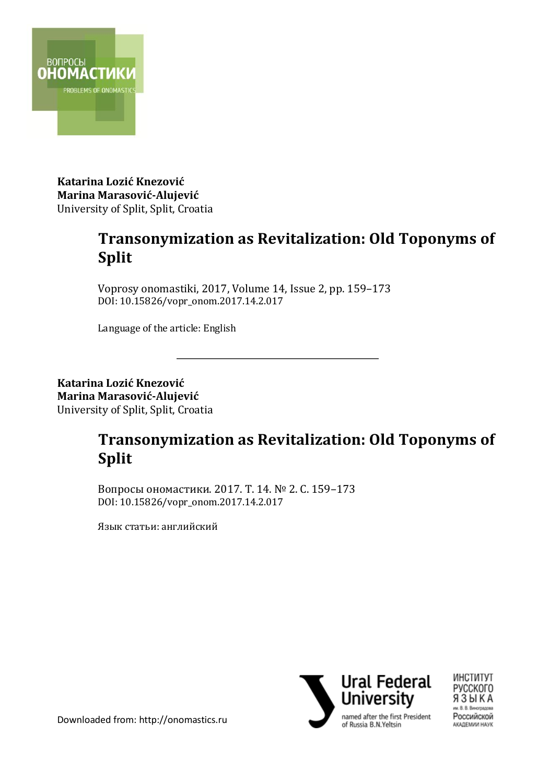

**Katarina Lozić Knezović Marina Marasović-Alujević** University of Split, Split, Croatia

## **Transonymization as Revitalization: Old Toponyms of Split**

Voprosy onomastiki, 2017, Volume 14, Issue 2, pp. 159–173 DOI: 10.15826/vopr\_onom.2017.14.2.017

Language of the article: English

**Katarina Lozić Knezović Marina Marasović-Alujević** University of Split, Split, Croatia

# **Transonymization as Revitalization: Old Toponyms of Split**

\_\_\_\_\_\_\_\_\_\_\_\_\_\_\_\_\_\_\_\_\_\_\_\_\_\_\_\_\_\_\_\_\_\_\_\_\_\_\_\_\_\_\_

Вопросы ономастики. 2017. Т. 14. № 2. С. 159–173 DOI: 10.15826/vopr\_onom.2017.14.2.017

Язык статьи: английский



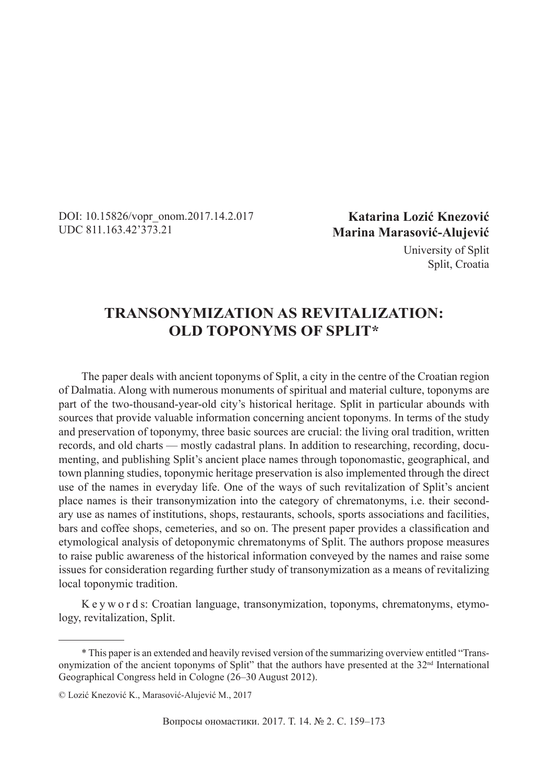DOI: 10.15826/vopr\_onom.2017.14.2.017 UDC 811.163.42'373.21

**Katarina Lozić Knezović Marina Marasović-Alujević**

> University of Split Split, Croatia

## **TRANSONYMIZATION AS REVITALIZATION: OLD TOPONYMS OF SPLIT\***

The paper deals with ancient toponyms of Split, a city in the centre of the Croatian region of Dalmatia. Along with numerous monuments of spiritual and material culture, toponyms are part of the two-thousand-year-old city's historical heritage. Split in particular abounds with sources that provide valuable information concerning ancient toponyms. In terms of the study and preservation of toponymy, three basic sources are crucial: the living oral tradition, written records, and old charts — mostly cadastral plans. In addition to researching, recording, documenting, and publishing Split's ancient place names through toponomastic, geographical, and town planning studies, toponymic heritage preservation is also implemented through the direct use of the names in everyday life. One of the ways of such revitalization of Split's ancient place names is their transonymization into the category of chrematonyms, i.e. their secondary use as names of institutions, shops, restaurants, schools, sports associations and facilities, bars and coffee shops, cemeteries, and so on. The present paper provides a classification and etymological analysis of detoponymic chrematonyms of Split. The authors propose measures to raise public awareness of the historical information conveyed by the names and raise some issues for consideration regarding further study of transonymization as a means of revitalizing local toponymic tradition.

K e y w o r d s: Croatian language, transonymization, toponyms, chrematonyms, etymology, revitalization, Split.

<sup>\*</sup> This paper is an extended and heavily revised version of the summarizing overview entitled "Transonymization of the ancient toponyms of Split" that the authors have presented at the  $32<sup>nd</sup>$  International Geographical Congress held in Cologne (26–30 August 2012).

<sup>©</sup> Lozić Knezović K., Marasović-Alujević M., 2017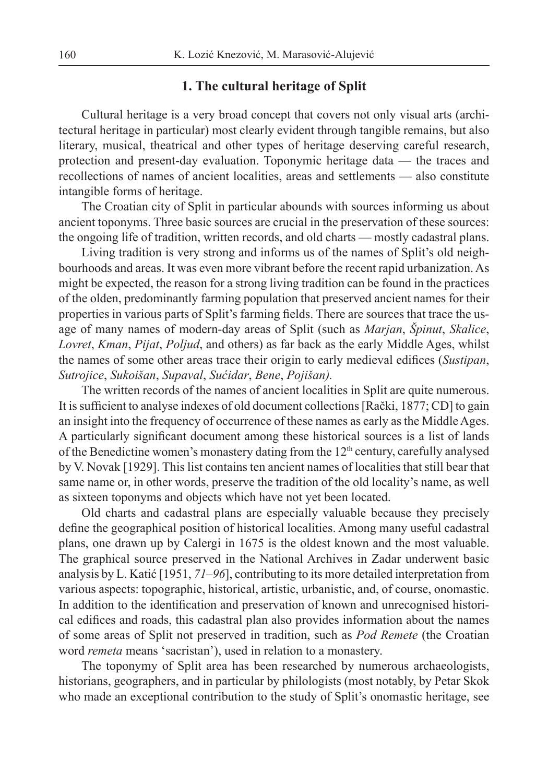## **1. The cultural heritage of Split**

Cultural heritage is a very broad concept that covers not only visual arts (architectural heritage in particular) most clearly evident through tangible remains, but also literary, musical, theatrical and other types of heritage deserving careful research, protection and present-day evaluation. Toponymic heritage data — the traces and recollections of names of ancient localities, areas and settlements — also constitute intangible forms of heritage.

The Croatian city of Split in particular abounds with sources informing us about ancient toponyms. Three basic sources are crucial in the preservation of these sources: the ongoing life of tradition, written records, and old charts — mostly cadastral plans.

Living tradition is very strong and informs us of the names of Split's old neighbourhoods and areas. It was even more vibrant before the recent rapid urbanization. As might be expected, the reason for a strong living tradition can be found in the practices of the olden, predominantly farming population that preserved ancient names for their properties in various parts of Split's farming fields. There are sources that trace the usage of many names of modern-day areas of Split (such as *Marjan*, *Špinut*, *Skalice*, *Lovret*, *Kman*, *Pijat*, *Poljud*, and others) as far back as the early Middle Ages, whilst the names of some other areas trace their origin to early medieval edifices (*Sustipan*, *Sutrojice*, *Sukoišan*, *Supaval*, *Sućidar*, *Bene*, *Pojišan).*

The written records of the names of ancient localities in Split are quite numerous. It is sufficient to analyse indexes of old document collections [Rački, 1877; CD] to gain an insight into the frequency of occurrence of these names as early as the Middle Ages. A particularly significant document among these historical sources is a list of lands of the Benedictine women's monastery dating from the 12th century, carefully analysed by V. Novak [1929]. This list contains ten ancient names of localities that still bear that same name or, in other words, preserve the tradition of the old locality's name, as well as sixteen toponyms and objects which have not yet been located.

Old charts and cadastral plans are especially valuable because they precisely define the geographical position of historical localities. Among many useful cadastral plans, one drawn up by Calergi in 1675 is the oldest known and the most valuable. The graphical source preserved in the National Archives in Zadar underwent basic analysis by L. Katić [1951, *71*–*96*], contributing to its more detailed interpretation from various aspects: topographic, historical, artistic, urbanistic, and, of course, onomastic. In addition to the identification and preservation of known and unrecognised historical edifices and roads, this cadastral plan also provides information about the names of some areas of Split not preserved in tradition, such as *Pod Remete* (the Croatian word *remeta* means 'sacristan'), used in relation to a monastery.

The toponymy of Split area has been researched by numerous archaeologists, historians, geographers, and in particular by philologists (most notably, by Petar Skok who made an exceptional contribution to the study of Split's onomastic heritage, see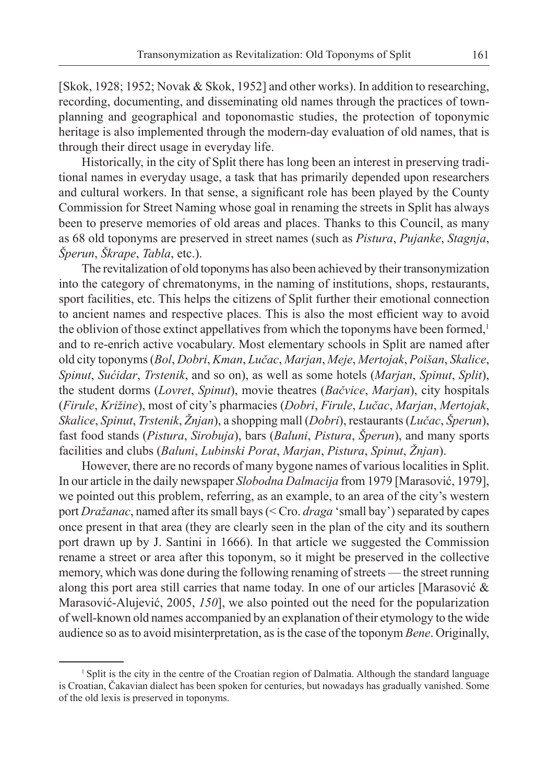[Skok, 1928; 1952; Novak & Skok, 1952] and other works). In addition to researching, recording, documenting, and disseminating old names through the practices of townplanning and geographical and toponomastic studies, the protection of toponymic heritage is also implemented through the modern-day evaluation of old names, that is through their direct usage in everyday life.

Historically, in the city of Split there has long been an interest in preserving traditional names in everyday usage, a task that has primarily depended upon researchers and cultural workers. In that sense, a significant role has been played by the County Commission for Street Naming whose goal in renaming the streets in Split has always been to preserve memories of old areas and places. Thanks to this Council, as many as 68 old toponyms are preserved in street names (such as *Pistura*, *Pujanke*, *Stagnja*, *Šperun*, *Škrape*, *Tabla*, etc.).

The revitalization of old toponyms has also been achieved by their transonymization into the category of chrematonyms, in the naming of institutions, shops, restaurants, sport facilities, etc. This helps the citizens of Split further their emotional connection to ancient names and respective places. This is also the most efficient way to avoid the oblivion of those extinct appellatives from which the toponyms have been formed,<sup>1</sup> and to re-enrich active vocabulary. Most elementary schools in Split are named after old city toponyms (*Bol*, *Dobri*, *Kman*, *Lučac*, *Marjan*, *Meje*, *Mertojak*, *Poišan*, *Skalice*, *Spinut*, *Sućidar*, *Trstenik*, and so on), as well as some hotels (*Marjan*, *Spinut*, *Split*), the student dorms (*Lovret*, *Spinut*), movie theatres (*Bačvice*, *Marjan*), city hospitals (*Firule*, *Križine*), most of city's pharmacies (*Dobri*, *Firule*, *Lučac*, *Marjan*, *Mertojak*, *Skalice*, *Spinut*, *Trstenik*, *Žnjan*), a shopping mall (*Dobri*), restaurants (*Lučac*, *Šperun*), fast food stands (*Pistura*, *Sirobuja*), bars (*Baluni*, *Pistura*, *Šperun*), and many sports facilities and clubs (*Baluni*, *Lubinski Porat*, *Marjan*, *Pistura*, *Spinut*, *Žnjan*).

However, there are no records of many bygone names of various localities in Split. In our article in the daily newspaper *Slobodna Dalmacija* from 1979 [Marasović, 1979], we pointed out this problem, referring, as an example, to an area of the city's western port *Dražanac*, named after its small bays (< Cro. *draga* 'small bay') separated by capes once present in that area (they are clearly seen in the plan of the city and its southern port drawn up by J. Santini in 1666). In that article we suggested the Commission rename a street or area after this toponym, so it might be preserved in the collective memory, which was done during the following renaming of streets — the street running along this port area still carries that name today. In one of our articles [Marasović & Marasović-Alujević, 2005, *150*], we also pointed out the need for the popularization of well-known old names accompanied by an explanation of their etymology to the wide audience so as to avoid misinterpretation, as is the case of the toponym *Bene*. Originally,

<sup>&</sup>lt;sup>1</sup> Split is the city in the centre of the Croatian region of Dalmatia. Although the standard language is Croatian, Čakavian dialect has been spoken for centuries, but nowadays has gradually vanished. Some of the old lexis is preserved in toponyms.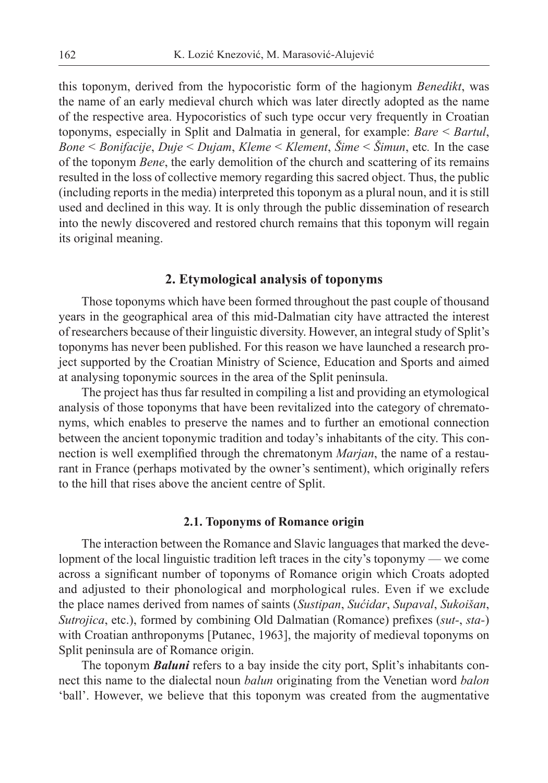this toponym, derived from the hypocoristic form of the hagionym *Benedikt*, was the name of an early medieval church which was later directly adopted as the name of the respective area. Hypocoristics of such type occur very frequently in Croatian toponyms, especially in Split and Dalmatia in general, for example: *Bare* < *Bartul*, *Bone* < *Bonifacije*, *Duje* < *Dujam*, *Kleme* < *Klement*, *Šime* < *Šimun*, etc*.* In the case of the toponym *Bene*, the early demolition of the church and scattering of its remains resulted in the loss of collective memory regarding this sacred object. Thus, the public (including reports in the media) interpreted this toponym as a plural noun, and it is still used and declined in this way. It is only through the public dissemination of research into the newly discovered and restored church remains that this toponym will regain its original meaning.

## **2. Etymological analysis of toponyms**

Those toponyms which have been formed throughout the past couple of thousand years in the geographical area of this mid-Dalmatian city have attracted the interest of researchers because of their linguistic diversity. However, an integral study of Split's toponyms has never been published. For this reason we have launched a research project supported by the Croatian Ministry of Science, Education and Sports and aimed at analysing toponymic sources in the area of the Split peninsula.

The project has thus far resulted in compiling a list and providing an etymological analysis of those toponyms that have been revitalized into the category of chrematonyms, which enables to preserve the names and to further an emotional connection between the ancient toponymic tradition and today's inhabitants of the city. This connection is well exemplified through the chrematonym *Marjan*, the name of a restaurant in France (perhaps motivated by the owner's sentiment), which originally refers to the hill that rises above the ancient centre of Split.

#### **2.1. Toponyms of Romance origin**

The interaction between the Romance and Slavic languages that marked the development of the local linguistic tradition left traces in the city's toponymy — we come across a significant number of toponyms of Romance origin which Croats adopted and adjusted to their phonological and morphological rules. Even if we exclude the place names derived from names of saints (*Sustipan*, *Sućidar*, *Supaval*, *Sukoišan*, *Sutrojica*, etc.), formed by combining Old Dalmatian (Romance) prefixes (*sut-*, *sta-*) with Croatian anthroponyms [Putanec, 1963], the majority of medieval toponyms on Split peninsula are of Romance origin.

The toponym *Baluni* refers to a bay inside the city port, Split's inhabitants connect this name to the dialectal noun *balun* originating from the Venetian word *balon*  'ball'. However, we believe that this toponym was created from the augmentative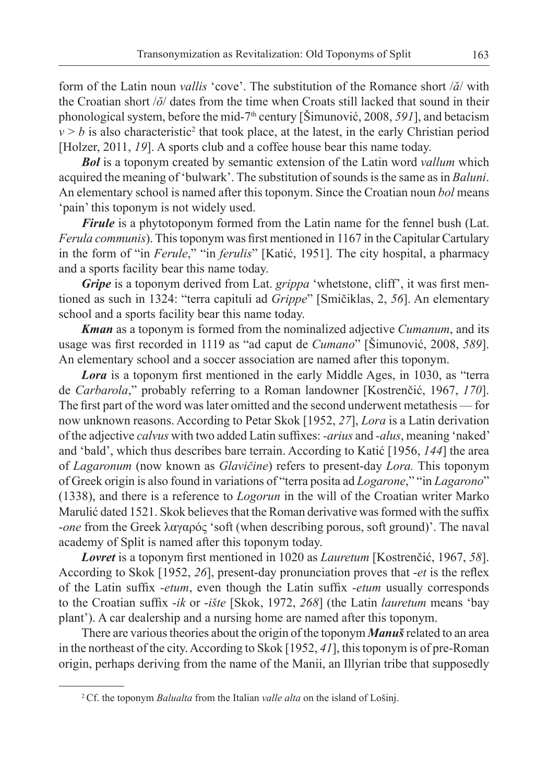form of the Latin noun *vallis* 'cove'. The substitution of the Romance short /*ă*/ with the Croatian short /*ŏ*/ dates from the time when Croats still lacked that sound in their phonological system, before the mid-7th century [Šimunović, 2008, *591*], and betacism  $v > b$  is also characteristic<sup>2</sup> that took place, at the latest, in the early Christian period [Holzer, 2011, 19]. A sports club and a coffee house bear this name today.

*Bol* is a toponym created by semantic extension of the Latin word *vallum* which acquired the meaning of 'bulwark'. The substitution of sounds is the same as in *Baluni*. An elementary school is named after this toponym. Since the Croatian noun *bol* means 'pain' this toponym is not widely used.

*Firule* is a phytotoponym formed from the Latin name for the fennel bush (Lat. *Ferula communis*). This toponym was first mentioned in 1167 in the Capitular Cartulary in the form of "in *Ferule*," "in *ferulis*" [Katić, 1951]. The city hospital, a pharmacy and a sports facility bear this name today.

*Gripe* is a toponym derived from Lat. *grippa* 'whetstone, cliff', it was first mentioned as such in 1324: "terra capituli ad *Grippe*" [Smičiklas, 2, *56*]. An elementary school and a sports facility bear this name today.

*Kman* as a toponym is formed from the nominalized adjective *Cumanum*, and its usage was first recorded in 1119 as "ad caput de *Cumano*" [Šimunović, 2008, 589]. An elementary school and a soccer association are named after this toponym.

*Lora* is a toponym first mentioned in the early Middle Ages, in 1030, as "terra de *Carbarola*," probably referring to a Roman landowner [Kostrenčić, 1967, *170*]. The first part of the word was later omitted and the second underwent metathesis — for now unknown reasons. According to Petar Skok [1952, *27*], *Lora* is a Latin derivation of the adjective *calvus* with two added Latin suffixes: *-arius* and *-alus*, meaning 'naked' and 'bald', which thus describes bare terrain. According to Katić [1956, *144*] the area of *Lagaronum* (now known as *Glavičine*) refers to present-day *Lora.* This toponym of Greek origin is also found in variations of "terra posita ad *Logarone*," "in *Lagarono*" (1338), and there is a reference to *Logorun* in the will of the Croatian writer Marko Marulić dated 1521. Skok believes that the Roman derivative was formed with the suffix -*one* from the Greek λαγαρός 'soft (when describing porous, soft ground)'. The naval academy of Split is named after this toponym today.

*Lovret* is a toponym first mentioned in 1020 as *Lauretum* [Kostrenčić, 1967, 58]. According to Skok [1952, 26], present-day pronunciation proves that -*et* is the reflex of the Latin suffix *-etum*, even though the Latin suffix *-etum* usually corresponds to the Croatian suffix -*ik* or -*ište* [Skok, 1972, 268] (the Latin *lauretum* means 'bay plant'). A car dealership and a nursing home are named after this toponym.

There are various theories about the origin of the toponym *Manuš*related to an area in the northeast of the city. According to Skok [1952, *41*], this toponym is of pre-Roman origin, perhaps deriving from the name of the Manii, an Illyrian tribe that supposedly

<sup>2</sup> Cf. the toponym *Balualta* from the Italian *valle alta* on the island of Lošinj.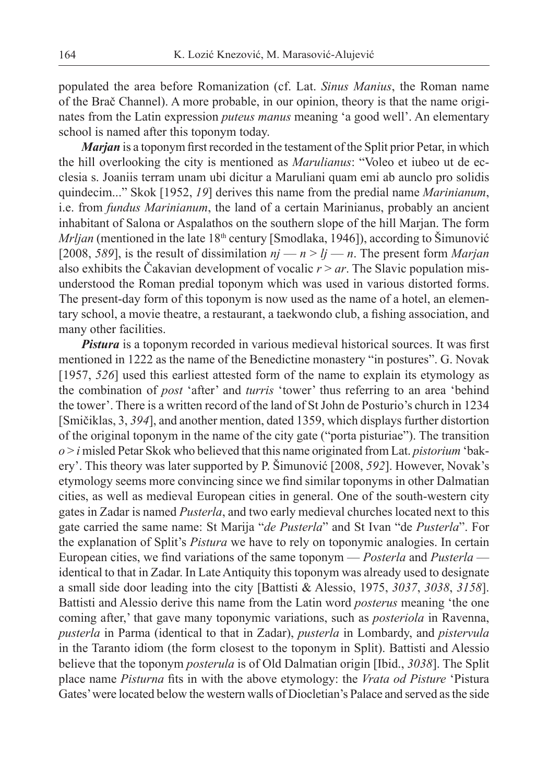populated the area before Romanization (cf. Lat. *Sinus Manius*, the Roman name of the Brač Channel). A more probable, in our opinion, theory is that the name originates from the Latin expression *puteus manus* meaning 'a good well'. An elementary school is named after this toponym today.

*Marjan* is a toponym first recorded in the testament of the Split prior Petar, in which the hill overlooking the city is mentioned as *Marulianus*: "Voleo et iubeo ut de ecclesia s. Joaniis terram unam ubi dicitur a Maruliani quam emi ab aunclo pro solidis quindecim..." Skok [1952, *19*] derives this name from the predial name *Marinianum*, i.e. from *fundus Marinianum*, the land of a certain Marinianus, probably an ancient inhabitant of Salona or Aspalathos on the southern slope of the hill Marjan. The form *Mrljan* (mentioned in the late 18<sup>th</sup> century [Smodlaka, 1946]), according to Šimunović [2008, *589*], is the result of dissimilation  $nj - n \geq lj - n$ . The present form *Marjan* also exhibits the Čakavian development of vocalic  $r > ar$ . The Slavic population misunderstood the Roman predial toponym which was used in various distorted forms. The present-day form of this toponym is now used as the name of a hotel, an elementary school, a movie theatre, a restaurant, a taekwondo club, a fishing association, and many other facilities.

**Pistura** is a toponym recorded in various medieval historical sources. It was first mentioned in 1222 as the name of the Benedictine monastery "in postures". G. Novak [1957, 526] used this earliest attested form of the name to explain its etymology as the combination of *post* 'after' and *turris* 'tower' thus referring to an area 'behind the tower'. There is a written record of the land of St John de Posturio's church in 1234 [Smičiklas, 3, *394*], and another mention, dated 1359, which displays further distortion of the original toponym in the name of the city gate ("porta pisturiae"). The transition *o* > *i* misled Petar Skok who believed that this name originated from Lat. *pistorium* 'bakery'. This theory was later supported by P. Šimunović [2008, *592*]. However, Novak's etymology seems more convincing since we find similar toponyms in other Dalmatian cities, as well as medieval European cities in general. One of the south-western city gates in Zadar is named *Pusterla*, and two early medieval churches located next to this gate carried the same name: St Marija "*de Pusterla*" and St Ivan "de *Pusterla*". For the explanation of Split's *Pistura* we have to rely on toponymic analogies. In certain European cities, we find variations of the same toponym — *Posterla* and *Pusterla* identical to that in Zadar. In Late Antiquity this toponym was already used to designate a small side door leading into the city [Battisti & Alessio, 1975, *3037*, *3038*, *3158*]. Battisti and Alessio derive this name from the Latin word *posterus* meaning 'the one coming after,' that gave many toponymic variations, such as *posteriola* in Ravenna, *pusterla* in Parma (identical to that in Zadar), *pusterla* in Lombardy, and *pistervula* in the Taranto idiom (the form closest to the toponym in Split). Battisti and Alessio believe that the toponym *posterula* is of Old Dalmatian origin [Ibid., *3038*]. The Split place name *Pisturna* fits in with the above etymology: the *Vrata od Pisture* 'Pistura' Gates' were located below the western walls of Diocletian's Palace and served as the side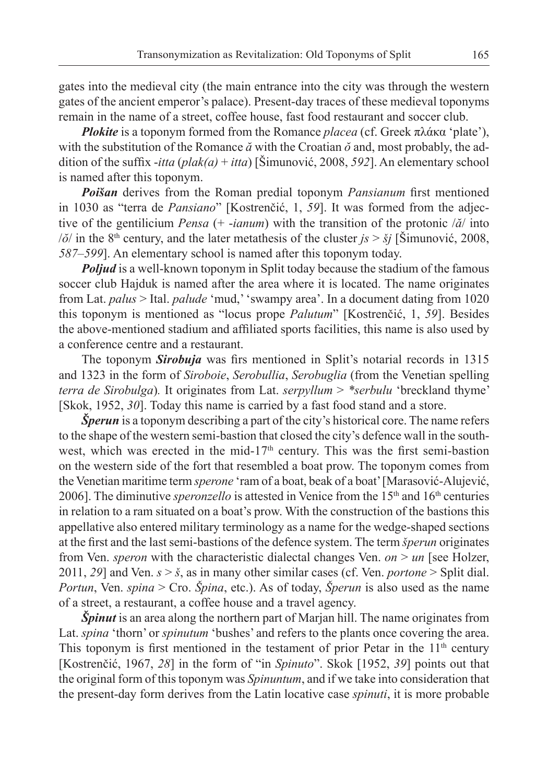gates into the medieval city (the main entrance into the city was through the western gates of the ancient emperor's palace). Present-day traces of these medieval toponyms remain in the name of a street, coffee house, fast food restaurant and soccer club.

*Plokite* is a toponym formed from the Romance *placea* (cf. Greek πλάκα 'plate'), with the substitution of the Romance *ă* with the Croatian *ŏ* and, most probably, the addition of the suffix -*itta* ( $plak(a) + itta$ ) [Šimunović, 2008, 592]. An elementary school is named after this toponym.

**Poišan** derives from the Roman predial toponym *Pansianum* first mentioned in 1030 as "terra de *Pansiano*" [Kostrenčić, 1, *59*]. It was formed from the adjective of the gentilicium *Pensa* (+ -*ianum*) with the transition of the protonic /*ă*/ into  $/ \delta /$  in the 8<sup>th</sup> century, and the later metathesis of the cluster  $j_s > \delta j$  [Simunović, 2008, *587*–*599*]. An elementary school is named after this toponym today.

*Poljud* is a well-known toponym in Split today because the stadium of the famous soccer club Hajduk is named after the area where it is located. The name originates from Lat. *palus* > Ital. *palude* 'mud,' 'swampy area'. In a document dating from 1020 this toponym is mentioned as "locus prope *Palutum*" [Kostrenčić, 1, *59*]. Besides the above-mentioned stadium and affiliated sports facilities, this name is also used by a conference centre and a restaurant.

The toponym **Sirobuja** was firs mentioned in Split's notarial records in 1315 and 1323 in the form of *Siroboie*, *Serobullia*, *Serobuglia* (from the Venetian spelling *terra de Sirobulga*)*.* It originates from Lat. *serpyllum* > *\*serbulu* 'breckland thyme' [Skok, 1952, *30*]. Today this name is carried by a fast food stand and a store.

*Šperun* is a toponym describing a part of the city's historical core. The name refers to the shape of the western semi-bastion that closed the city's defence wall in the southwest, which was erected in the mid-17<sup>th</sup> century. This was the first semi-bastion on the western side of the fort that resembled a boat prow. The toponym comes from the Venetian maritime term *sperone* 'ram of a boat, beak of a boat' [Marasović-Alujević, 2006]. The diminutive *speronzello* is attested in Venice from the 15<sup>th</sup> and 16<sup>th</sup> centuries in relation to a ram situated on a boat's prow. With the construction of the bastions this appellative also entered military terminology as a name for the wedge-shaped sections at the first and the last semi-bastions of the defence system. The term *šperun* originates from Ven. *speron* with the characteristic dialectal changes Ven. *on* > *un* [see Holzer, 2011, *29*] and Ven. *s* > *š*, as in many other similar cases (cf. Ven. *portone* > Split dial. *Portun*, Ven. *spina* > Cro. *Špina*, etc.). As of today, *Šperun* is also used as the name of a street, a restaurant, a coffee house and a travel agency.

*Špinut* is an area along the northern part of Marjan hill. The name originates from Lat. *spina* 'thorn' or *spinutum* 'bushes' and refers to the plants once covering the area. This toponym is first mentioned in the testament of prior Petar in the  $11<sup>th</sup>$  century [Kostrenčić, 1967, *28*] in the form of "in *Spinuto*". Skok [1952, *39*] points out that the original form of this toponym was *Spinuntum*, and if we take into consideration that the present-day form derives from the Latin locative case *spinuti*, it is more probable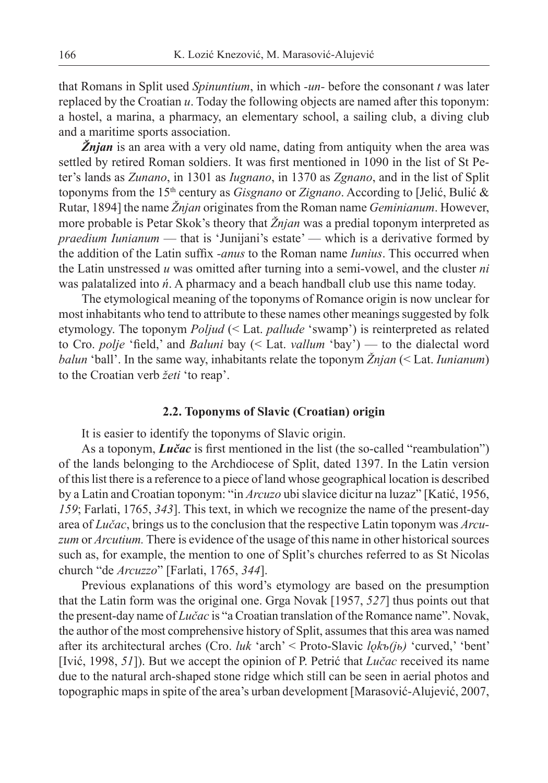that Romans in Split used *Spinuntium*, in which *-un-* before the consonant *t* was later replaced by the Croatian *u*. Today the following objects are named after this toponym: a hostel, a marina, a pharmacy, an elementary school, a sailing club, a diving club and a maritime sports association.

*Žnjan* is an area with a very old name, dating from antiquity when the area was settled by retired Roman soldiers. It was first mentioned in 1090 in the list of St Peter's lands as *Zunano*, in 1301 as *Iugnano*, in 1370 as *Zgnano*, and in the list of Split toponyms from the 15th century as *Gisgnano* or *Zignano*. According to [Jelić, Bulić & Rutar, 1894] the name *Žnjan* originates from the Roman name *Geminianum*. However, more probable is Petar Skok's theory that *Žnjan* was a predial toponym interpreted as *praedium Iunianum* — that is 'Junijani's estate' — which is a derivative formed by the addition of the Latin suffix *-anus* to the Roman name *Iunius*. This occurred when the Latin unstressed *u* was omitted after turning into a semi-vowel, and the cluster *ni* was palatalized into *ń*. A pharmacy and a beach handball club use this name today.

The etymological meaning of the toponyms of Romance origin is now unclear for most inhabitants who tend to attribute to these names other meanings suggested by folk etymology. The toponym *Poljud* (< Lat. *pallude* 'swamp') is reinterpreted as related to Cro. *polje* 'field,' and *Baluni* bay (< Lat. *vallum* 'bay') — to the dialectal word *balun* 'ball'. In the same way, inhabitants relate the toponym *Žnjan* (< Lat. *Iunianum*) to the Croatian verb *žeti* 'to reap'.

#### **2.2. Toponyms of Slavic (Croatian) origin**

It is easier to identify the toponyms of Slavic origin.

As a toponym, *Lučac* is first mentioned in the list (the so-called "reambulation") of the lands belonging to the Archdiocese of Split, dated 1397. In the Latin version of this list there is a reference to a piece of land whose geographical location is described by a Latin and Croatian toponym: "in *Arcuzo* ubi slavice dicitur na luzaz" [Katić, 1956, *159*; Farlati, 1765, *343*]. This text, in which we recognize the name of the present-day area of *Lučac*, brings us to the conclusion that the respective Latin toponym was *Arcuzum* or *Arcutium.* There is evidence of the usage of this name in other historical sources such as, for example, the mention to one of Split's churches referred to as St Nicolas church "de *Arcuzzo*" [Farlati, 1765, *344*].

Previous explanations of this word's etymology are based on the presumption that the Latin form was the original one. Grga Novak [1957, *527*] thus points out that the present-day name of *Lučac* is "a Croatian translation of the Romance name". Novak, the author of the most comprehensive history of Split, assumes that this area was named after its architectural arches (Cro. *luk* 'arch' < Proto-Slavic *lǫkъ(jь)* 'curved,' 'bent' [Ivić, 1998, *51*]). But we accept the opinion of P. Petrić that *Lučac* received its name due to the natural arch-shaped stone ridge which still can be seen in aerial photos and topographic maps in spite of the area's urban development [Marasović-Alujević, 2007,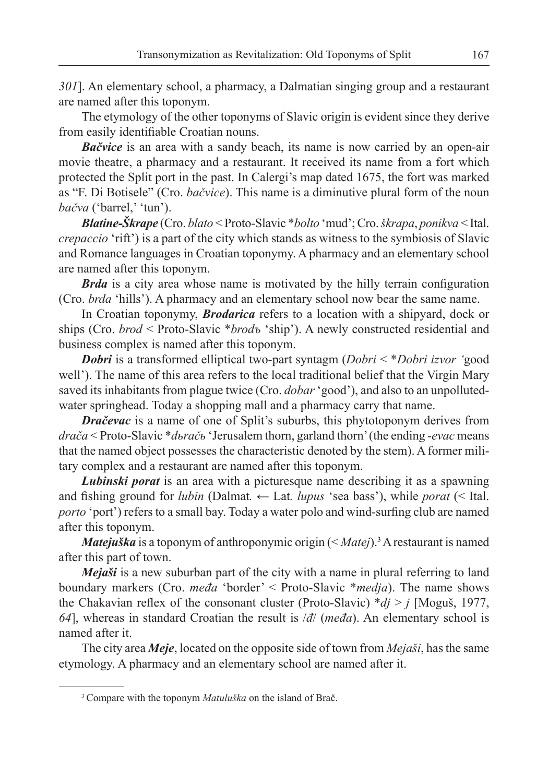*301*]. An elementary school, a pharmacy, a Dalmatian singing group and a restaurant are named after this toponym.

The etymology of the other toponyms of Slavic origin is evident since they derive from easily identifiable Croatian nouns.

*Bačvice* is an area with a sandy beach, its name is now carried by an open-air movie theatre, a pharmacy and a restaurant. It received its name from a fort which protected the Split port in the past. In Calergi's map dated 1675, the fort was marked as "F. Di Botisele" (Cro. *bačvice*). This name is a diminutive plural form of the noun *bačva* ('barrel,' 'tun').

*Blatine-Škrape* (Cro. *blato* < Proto-Slavic \**bolto* 'mud'; Cro. *škrapa*, *ponikva* < Ital. *crepaccio* 'rift') is a part of the city which stands as witness to the symbiosis of Slavic and Romance languages in Croatian toponymy. A pharmacy and an elementary school are named after this toponym.

*Brda* is a city area whose name is motivated by the hilly terrain configuration (Cro. *brda* 'hills'). A pharmacy and an elementary school now bear the same name.

In Croatian toponymy, *Brodarica* refers to a location with a shipyard, dock or ships (Cro. *brod* < Proto-Slavic \**brodъ* 'ship'). A newly constructed residential and business complex is named after this toponym.

*Dobri* is a transformed elliptical two-part syntagm (*Dobri* < \**Dobri izvor '*good well'). The name of this area refers to the local traditional belief that the Virgin Mary saved its inhabitants from plague twice (Cro. *dobar* 'good'), and also to an unpollutedwater springhead. Today a shopping mall and a pharmacy carry that name.

*Dračevac* is a name of one of Split's suburbs, this phytotoponym derives from *drača* < Proto-Slavic \**dьračь* 'Jerusalem thorn, garland thorn' (the ending *-evac* means that the named object possesses the characteristic denoted by the stem). A former military complex and a restaurant are named after this toponym.

*Lubinski porat* is an area with a picturesque name describing it as a spawning and fishing ground for *lubin* (Dalmat. ← Lat. *lupus* 'sea bass'), while *porat* (< Ital. *porto* 'port') refers to a small bay. Today a water polo and wind-surfing club are named after this toponym.

*Matejuška* is a toponym of anthroponymic origin (< *Matej*).<sup>3</sup> A restaurant is named after this part of town.

*Mejaši* is a new suburban part of the city with a name in plural referring to land boundary markers (Cro. *međa* 'border' < Proto-Slavic \**medja*). The name shows the Chakavian reflex of the consonant cluster (Proto-Slavic)  $*dj > j$  [Moguš, 1977, *64*], whereas in standard Croatian the result is /*đ*/ (*međa*). An elementary school is named after it.

The city area *Meje*, located on the opposite side of town from *Mejaši*, has the same etymology. A pharmacy and an elementary school are named after it.

<sup>3</sup> Compare with the toponym *Matuluška* on the island of Brač.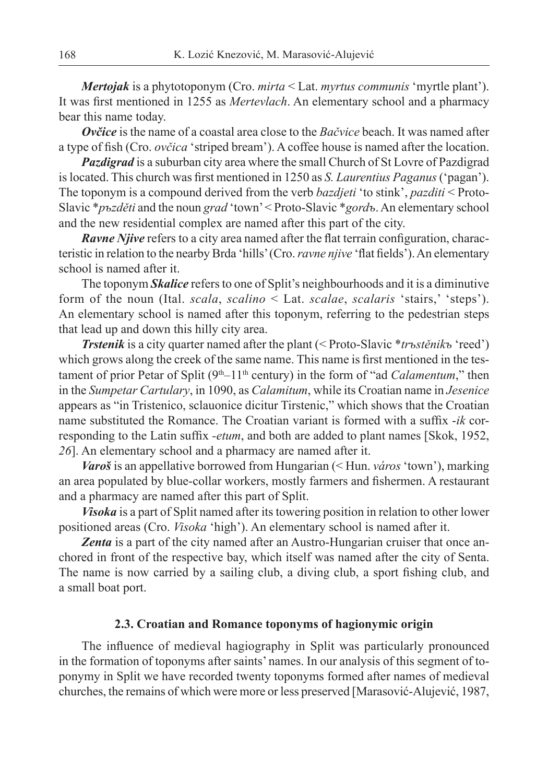*Mertojak* is a phytotoponym (Cro. *mirta* < Lat. *myrtus communis* 'myrtle plant'). It was first mentioned in 1255 as *Mertevlach*. An elementary school and a pharmacy bear this name today.

*Ovčice* is the name of a coastal area close to the *Bačvice* beach. It was named after a type of fish (Cro. *ovčica* 'striped bream'). A coffee house is named after the location.

*Pazdigrad* is a suburban city area where the small Church of St Lovre of Pazdigrad is located. This church was first mentioned in 1250 as *S. Laurentius Paganus* ('pagan'). The toponym is a compound derived from the verb *bazdjeti* 'to stink', *pazditi* < Proto-Slavic \**pъzděti* and the noun *grad* 'town' < Proto-Slavic \**gordъ*. An elementary school and the new residential complex are named after this part of the city.

*Ravne Njive* refers to a city area named after the flat terrain configuration, characteristic in relation to the nearby Brda 'hills' (Cro. *ravne njive* 'flat fields'). An elementary school is named after it.

The toponym *Skalice* refers to one of Split's neighbourhoods and it is a diminutive form of the noun (Ital. *scala*, *scalino* < Lat. *scalae*, *scalaris* 'stairs,' 'steps'). An elementary school is named after this toponym, referring to the pedestrian steps that lead up and down this hilly city area.

*Trstenik* is a city quarter named after the plant (< Proto-Slavic \**trъstěnikъ* 'reed') which grows along the creek of the same name. This name is first mentioned in the testament of prior Petar of Split (9<sup>th</sup>–11<sup>th</sup> century) in the form of "ad *Calamentum*," then in the *Sumpetar Cartulary*, in 1090, as *Calamitum*, while its Croatian name in *Jesenice* appears as "in Tristenico, sclauonice dicitur Tirstenic," which shows that the Croatian name substituted the Romance. The Croatian variant is formed with a suffix -*ik* corresponding to the Latin suffix *-etum*, and both are added to plant names [Skok, 1952, *26*]. An elementary school and a pharmacy are named after it.

*Varoš* is an appellative borrowed from Hungarian (< Hun. *város* 'town'), marking an area populated by blue-collar workers, mostly farmers and fishermen. A restaurant and a pharmacy are named after this part of Split.

*Visoka* is a part of Split named after its towering position in relation to other lower positioned areas (Cro. *Visoka* 'high'). An elementary school is named after it.

Zenta is a part of the city named after an Austro-Hungarian cruiser that once anchored in front of the respective bay, which itself was named after the city of Senta. The name is now carried by a sailing club, a diving club, a sport fishing club, and a small boat port.

## **2.3. Croatian and Romance toponyms of hagionymic origin**

The influence of medieval hagiography in Split was particularly pronounced in the formation of toponyms after saints' names. In our analysis of this segment of toponymy in Split we have recorded twenty toponyms formed after names of medieval churches, the remains of which were more or less preserved [Marasović-Alujević, 1987,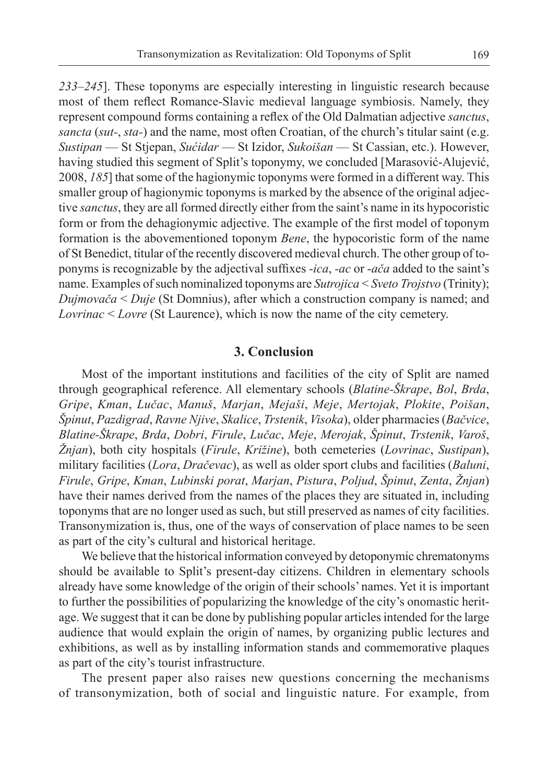*233*–*245*]. These toponyms are especially interesting in linguistic research because most of them reflect Romance-Slavic medieval language symbiosis. Namely, they represent compound forms containing a reflex of the Old Dalmatian adjective *sanctus*, *sancta* (*sut-*, *sta-*) and the name, most often Croatian, of the church's titular saint (e.g. *Sustipan* — St Stjepan, *Sućidar* — St Izidor, *Sukoišan* — St Cassian, etc.). However, having studied this segment of Split's toponymy, we concluded [Marasović-Alujević, 2008, *185*] that some of the hagionymic toponyms were formed in a different way. This smaller group of hagionymic toponyms is marked by the absence of the original adjective *sanctus*, they are all formed directly either from the saint's name in its hypocoristic form or from the dehagionymic adjective. The example of the first model of toponym formation is the abovementioned toponym *Bene*, the hypocoristic form of the name of St Benedict, titular of the recently discovered medieval church. The other group of toponyms is recognizable by the adjectival suffixes *-ica*, *-ac* or *-ača* added to the saint's name. Examples of such nominalized toponyms are *Sutrojica* < *Sveto Trojstvo* (Trinity); *Dujmovača* < *Duje* (St Domnius), after which a construction company is named; and *Lovrinac* < *Lovre* (St Laurence), which is now the name of the city cemetery.

## **3. Conclusion**

Most of the important institutions and facilities of the city of Split are named through geographical reference. All elementary schools (*Blatine-Škrape*, *Bol*, *Brda*, *Gripe*, *Kman*, *Lučac*, *Manuš*, *Marjan*, *Mejaši*, *Meje*, *Mertojak*, *Plokite*, *Poišan*, *Špinut*, *Pazdigrad*, *Ravne Njive*, *Skalice*, *Trstenik*, *Visoka*), older pharmacies (*Bačvice*, *Blatine-Škrape*, *Brda*, *Dobri*, *Firule*, *Lučac*, *Meje*, *Merojak*, *Špinut*, *Trstenik*, *Varoš*, *Žnjan*), both city hospitals (*Firule*, *Križine*), both cemeteries (*Lovrinac*, *Sustipan*), military facilities (*Lora*, *Dračevac*), as well as older sport clubs and facilities (*Baluni*, *Firule*, *Gripe*, *Kman*, *Lubinski porat*, *Marjan*, *Pistura*, *Poljud*, *Špinut*, *Zenta*, *Žnjan*) have their names derived from the names of the places they are situated in, including toponyms that are no longer used as such, but still preserved as names of city facilities. Transonymization is, thus, one of the ways of conservation of place names to be seen as part of the city's cultural and historical heritage.

We believe that the historical information conveyed by detoponymic chrematonyms should be available to Split's present-day citizens. Children in elementary schools already have some knowledge of the origin of their schools' names. Yet it is important to further the possibilities of popularizing the knowledge of the city's onomastic heritage. We suggest that it can be done by publishing popular articles intended for the large audience that would explain the origin of names, by organizing public lectures and exhibitions, as well as by installing information stands and commemorative plaques as part of the city's tourist infrastructure.

The present paper also raises new questions concerning the mechanisms of transonymization, both of social and linguistic nature. For example, from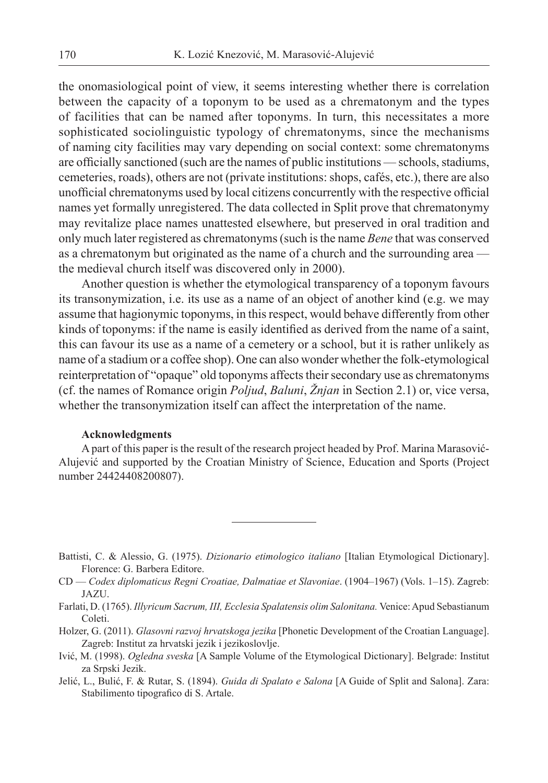the onomasiological point of view, it seems interesting whether there is correlation between the capacity of a toponym to be used as a chrematonym and the types of facilities that can be named after toponyms. In turn, this necessitates a more sophisticated sociolinguistic typology of chrematonyms, since the mechanisms of naming city facilities may vary depending on social context: some chrematonyms are officially sanctioned (such are the names of public institutions — schools, stadiums, cemeteries, roads), others are not (private institutions: shops, cafés, etc.), there are also unofficial chrematonyms used by local citizens concurrently with the respective official names yet formally unregistered. The data collected in Split prove that chrematonymy may revitalize place names unattested elsewhere, but preserved in oral tradition and only much later registered as chrematonyms (such is the name *Bene* that was conserved as a chrematonym but originated as the name of a church and the surrounding area the medieval church itself was discovered only in 2000).

Another question is whether the etymological transparency of a toponym favours its transonymization, i.e. its use as a name of an object of another kind (e.g. we may assume that hagionymic toponyms, in this respect, would behave differently from other kinds of toponyms: if the name is easily identified as derived from the name of a saint, this can favour its use as a name of a cemetery or a school, but it is rather unlikely as name of a stadium or a coffee shop). One can also wonder whether the folk-etymological reinterpretation of "opaque" old toponyms affects their secondary use as chrematonyms (cf. the names of Romance origin *Poljud*, *Baluni*, *Žnjan* in Section 2.1) or, vice versa, whether the transonymization itself can affect the interpretation of the name.

#### **Acknowledgments**

A part of this paper is the result of the research project headed by Prof. Marina Marasović-Alujević and supported by the Croatian Ministry of Science, Education and Sports (Project number 24424408200807).

- Battisti, C. & Alessio, G. (1975). *Dizionario etimologico italiano* [Italian Etymological Dictionary]. Florence: G. Barbera Editore.
- CD *Codex diplomaticus Regni Croatiae, Dalmatiae et Slavoniae*. (1904–1967) (Vols. 1–15). Zagreb: JAZU.
- Farlati, D. (1765). *Illyricum Sacrum, III, Ecclesia Spalatensis olim Salonitana.* Venice: Apud Sebastianum Coleti.
- Holzer, G. (2011). *Glasovni razvoj hrvatskoga jezika* [Phonetic Development of the Croatian Language]. Zagreb: Institut za hrvatski jezik i jezikoslovlje.
- Ivić , M. (1998). *Ogledna sveska* [A Sample Volume of the Etymological Dictionary]. Belgrade: Institut za Srpski Jezik.
- Jelić, L., Bulić, F. & Rutar, S. (1894). *Guida di Spalato e Salona* [A Guide of Split and Salona]. Zara: Stabilimento tipografico di S. Artale.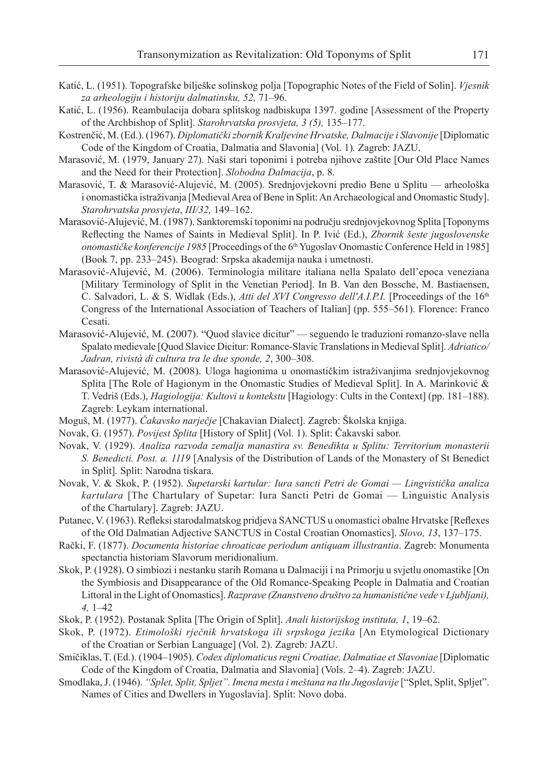- Katić, L. (1951). Topografske bilješke solinskog polja [Topographic Notes of the Field of Solin]. *Vjesnik za arheologiju i historiju dalmatinsku, 52,* 71–96.
- Katić, L. (1956). Reambulacija dobara splitskog nadbiskupa 1397. godine [Assessment of the Property of the Archbishop of Split]. *Starohrvatska prosvjeta, 3 (5),* 135–177.
- Kostrenčić, M. (Ed.). (1967). *Diplomatički zbornik Kraljevine Hrvatske, Dalmacije i Slavonije* [Diplomatic Code of the Kingdom of Croatia, Dalmatia and Slavonia] (Vol. 1)*.* Zagreb: JAZU.
- Marasović, M. (1979, January 27). Naši stari toponimi i potreba njihove zaštite [Our Old Place Names and the Need for their Protection]. *Slobodna Dalmacija*, p. 8.
- Marasović, T. & Marasović-Alujević, M. (2005). Srednjovjekovni predio Bene u Splitu arheološka i onomastička istraživanja [Medieval Area of Bene in Split: An Archaeological and Onomastic Study]. *Starohrvatska prosvjeta*, *III/32,* 149–162.
- Marasović-Alujević, M. (1987). Sanktoremski toponimi na području srednjovjekovnog Splita [Toponyms Refl ecting the Names of Saints in Medieval Split]. In P. Ivić (Ed.), *Zbornik šeste jugoslovenske onomastičke konferencije 1985* [Proceedings of the 6th Yugoslav Onomastic Conference Held in 1985] (Book 7, pp. 233–245). Beograd: Srpska akademija nauka i umetnosti.
- Marasović-Alujević, M. (2006). Terminologia militare italiana nella Spalato dell'epoca veneziana [Military Terminology of Split in the Venetian Period]. In B. Van den Bossche, M. Bastiaensen, C. Salvadori, L. & S. Widlak (Eds.), *Atti del XVI Congresso dell'A.I.P.I.* [Proceedings of the 16<sup>th</sup> Congress of the International Association of Teachers of Italian] (pp. 555–561). Florence: Franco Cesati.
- Marasović-Alujević, M. (2007). "Quod slavice dicitur" seguendo le traduzioni romanzo-slave nella Spalato medievale [Quod Slavice Dicitur: Romance-Slavic Translations in Medieval Split]. *Adriatico/ Jadran, rivistà di cultura tra le due sponde, 2*, 300–308.
- Marasović-Alujević, M. (2008). Uloga hagionima u onomastičkim istraživanjima srednjovjekovnog Splita [The Role of Hagionym in the Onomastic Studies of Medieval Split]. In A. Marinković & T. Vedriš (Eds.), *Hagiologija: Kultovi u kontekstu* [Hagiology: Cults in the Context] (pp. 181–188). Zagreb: Leykam international.
- Moguš, M. (1977). *Čakavsko narječje* [Chakavian Dialect]. Zagreb: Školska knjiga.
- Novak, G. (1957). *Povijest Splita* [History of Split] (Vol. 1). Split: Čakavski sabor.
- Novak, V. (1929). *Analiza razvoda zemalja manastira sv. Benedikta u Splitu: Territorium monasterii S. Benedicti. Post. a. 1119* [Analysis of the Distribution of Lands of the Monastery of St Benedict in Split]*.* Split: Narodna tiskara.
- Novak, V. & Skok, P. (1952). *Supetarski kartular: Iura sancti Petri de Gomai Lingvistička analiza kartulara* [The Chartulary of Supetar: Iura Sancti Petri de Gomai — Linguistic Analysis of the Chartulary]. Zagreb: JAZU.
- Putanec, V. (1963). Refleksi starodalmatskog pridjeva SANCTUS u onomastici obalne Hrvatske [Reflexes of the Old Dalmatian Adjective SANCTUS in Costal Croatian Onomastics]. *Slovo, 13*, 137–175.
- Rački, F. (1877). *Documenta historiae chroaticae periodum antiquam illustrantia*. Zagreb: Monumenta spectanctia historiam Slavorum meridionalium.
- Skok, P. (1928). O simbiozi i nestanku starih Romana u Dalmaciji i na Primorju u svjetlu onomastike [On the Symbiosis and Disappearance of the Old Romance-Speaking People in Dalmatia and Croatian Littoral in the Light of Onomastics]. *Razprave (Znanstveno društvo za humanistične vede v Ljubljani), 4,* 1–42
- Skok, P. (1952). Postanak Splita [The Origin of Split]. *Anali historijskog instituta, 1*, 19–62.
- Skok, P. (1972). *Etimološki rječnik hrvatskoga ili srpskoga jezika* [An Etymological Dictionary of the Croatian or Serbian Language] (Vol. 2). Zagreb: JAZU.
- Smičiklas, T. (Ed.). (1904–1905). *Codex diplomaticus regni Croatiae, Dalmatiae et Slavoniae* [Diplomatic Code of the Kingdom of Croatia, Dalmatia and Slavonia] (Vols. 2–4). Zagreb: JAZU.
- Smodlaka, J. (1946). *"Splet, Split, Spljet". Imena mesta i meštana na tlu Jugoslavije* ["Splet, Split, Spljet". Names of Cities and Dwellers in Yugoslavia]. Split: Novo doba.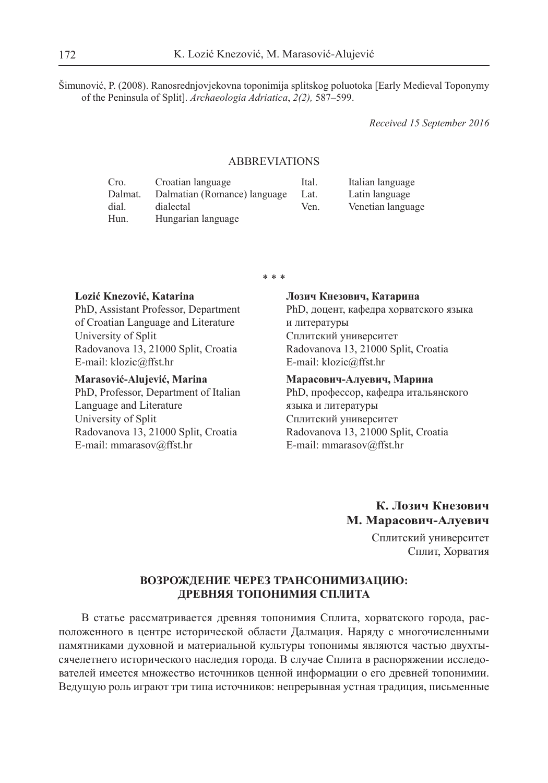Šimunović, P. (2008). Ranosrednjovjekovna toponimija splitskog poluotoka [Early Medieval Toponymy of the Peninsula of Split]. *Archaeologia Adriatica*, *2(2),* 587–599.

*Received 15 September 2016*

#### ABBREVIATIONS

| Cro.    | Croatian language            | Ital. | Italian language  |
|---------|------------------------------|-------|-------------------|
| Dalmat. | Dalmatian (Romance) language | Lat.  | Latin language    |
| dial.   | dialectal                    | Ven.  | Venetian language |
| Hun.    | Hungarian language           |       |                   |

\* \* \*

#### **Lozić Knezović, Katarina** PhD, Assistant Professor, Department of Croatian Language and Literature University of Split Radovanova 13, 21000 Split, Croatia E-mail: klozic@ffst.hr

#### **Marasović-Alujević, Marina**

PhD, Professor, Department of Italian Language and Literature University of Split Radovanova 13, 21000 Split, Croatia E-mail: mmarasov@ffst.hr

### **Лозич Кнезович, Катарина** PhD, доцент, кафедра хорватского языка и литературы Сплитский университет

Radovanova 13, 21000 Split, Croatia E-mail: klozic@ffst.hr

#### **Марасович-Алуевич, Марина**

PhD, профессор, кафедра итальянского языка и литературы Сплитский университет Radovanova 13, 21000 Split, Croatia E-mail: mmarasov@ffst.hr

## **К. Лозич Кнезович М. Марасович-Алуевич**

Сплитский университет Сплит, Хорватия

#### **ВОЗРОЖДЕНИЕ ЧЕРЕЗ ТРАНСОНИМИЗАЦИЮ: ДРЕВНЯЯ ТОПОНИМИЯ СПЛИТА**

В статье рассматривается древняя топонимия Сплита, хорватского города, расположенного в центре исторической области Далмация. Наряду с многочисленными памятниками духовной и материальной культуры топонимы являются частью двухтысячелетнего исторического наследия города. В случае Сплита в распоряжении исследователей имеется множество источников ценной информации о его древней топонимии. Ведущую роль играют три типа источников: непрерывная устная традиция, письменные